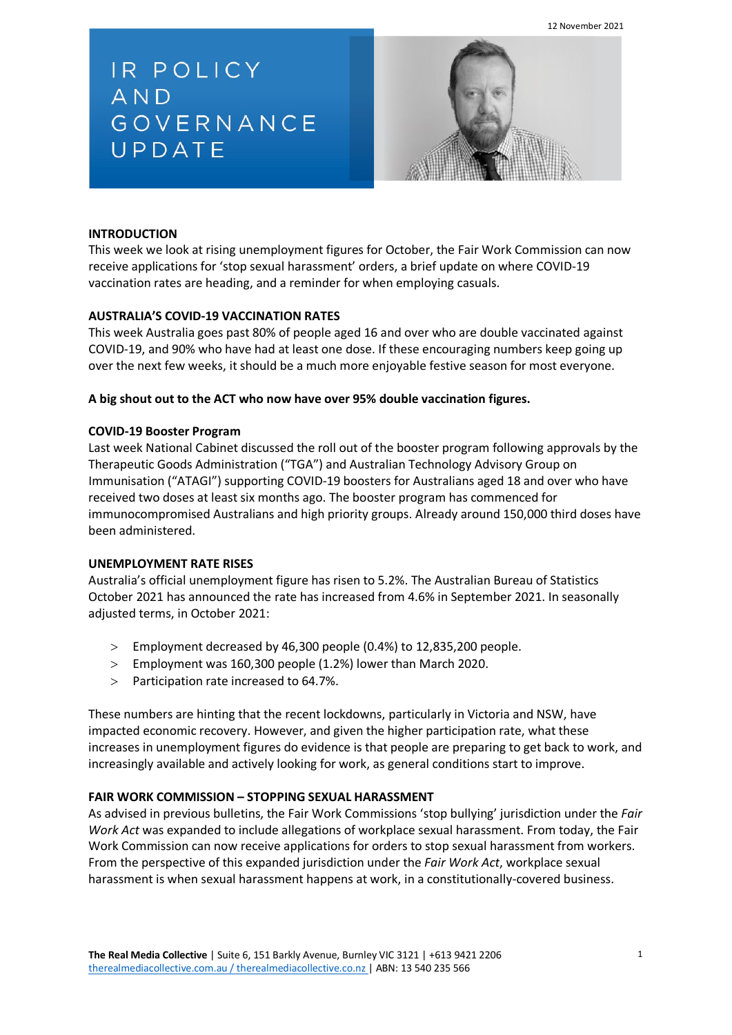12 November 2021

IR POLICY AND GOVERNANCE UPDATE



## **INTRODUCTION**

This week we look at rising unemployment figures for October, the Fair Work Commission can now receive applications for 'stop sexual harassment' orders, a brief update on where COVID-19 vaccination rates are heading, and a reminder for when employing casuals.

# **AUSTRALIA'S COVID-19 VACCINATION RATES**

This week Australia goes past 80% of people aged 16 and over who are double vaccinated against COVID-19, and 90% who have had at least one dose. If these encouraging numbers keep going up over the next few weeks, it should be a much more enjoyable festive season for most everyone.

### **A big shout out to the ACT who now have over 95% double vaccination figures.**

#### **COVID-19 Booster Program**

Last week National Cabinet discussed the roll out of the booster program following approvals by the Therapeutic Goods Administration ("TGA") and Australian Technology Advisory Group on Immunisation ("ATAGI") supporting COVID-19 boosters for Australians aged 18 and over who have received two doses at least six months ago. The booster program has commenced for immunocompromised Australians and high priority groups. Already around 150,000 third doses have been administered.

#### **UNEMPLOYMENT RATE RISES**

Australia's official unemployment figure has risen to 5.2%. The Australian Bureau of Statistics October 2021 has announced the rate has increased from 4.6% in September 2021. In seasonally adjusted terms, in October 2021:

- > Employment decreased by 46,300 people (0.4%) to 12,835,200 people.
- > Employment was 160,300 people (1.2%) lower than March 2020.
- > Participation rate increased to 64.7%.

These numbers are hinting that the recent lockdowns, particularly in Victoria and NSW, have impacted economic recovery. However, and given the higher participation rate, what these increases in unemployment figures do evidence is that people are preparing to get back to work, and increasingly available and actively looking for work, as general conditions start to improve.

#### **FAIR WORK COMMISSION – STOPPING SEXUAL HARASSMENT**

As advised in previous bulletins, the Fair Work Commissions 'stop bullying' jurisdiction under the *Fair Work Act* was expanded to include allegations of workplace sexual harassment. From today, the Fair Work Commission can now receive applications for orders to stop sexual harassment from workers. From the perspective of this expanded jurisdiction under the *Fair Work Act*, workplace sexual harassment is when sexual harassment happens at work, in a constitutionally-covered business.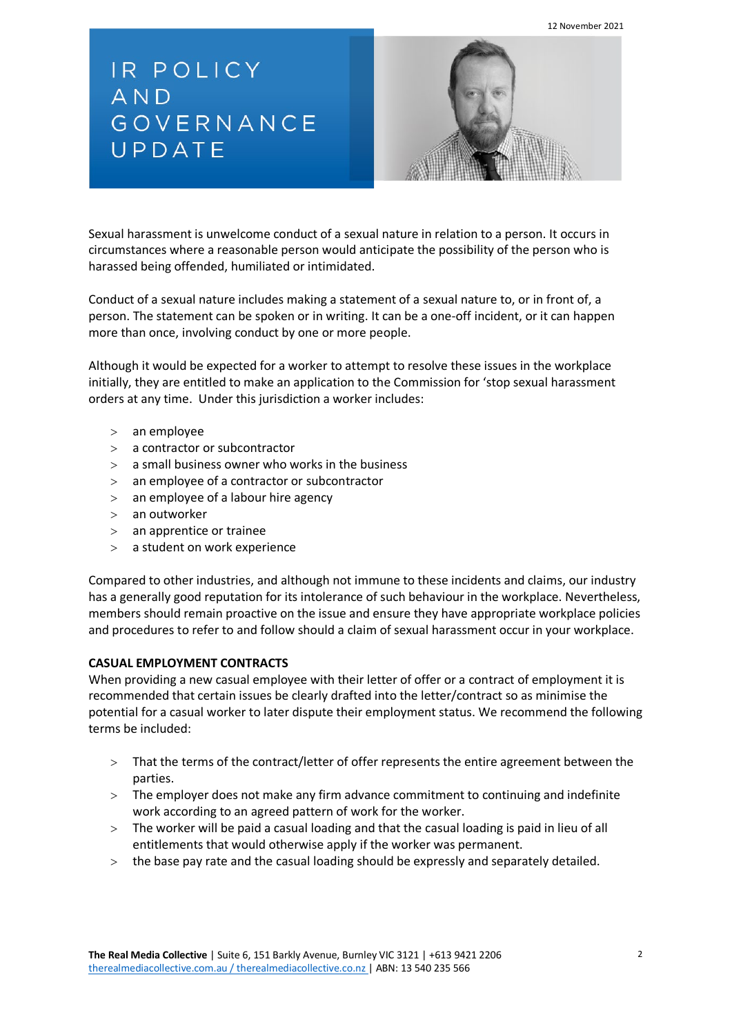12 November 2021

IR POLICY AND GOVERNANCE UPDATE



Sexual harassment is unwelcome conduct of a sexual nature in relation to a person. It occurs in circumstances where a reasonable person would anticipate the possibility of the person who is harassed being offended, humiliated or intimidated.

Conduct of a sexual nature includes making a statement of a sexual nature to, or in front of, a person. The statement can be spoken or in writing. It can be a one-off incident, or it can happen more than once, involving conduct by one or more people.

Although it would be expected for a worker to attempt to resolve these issues in the workplace initially, they are entitled to make an application to the Commission for 'stop sexual harassment orders at any time. Under this jurisdiction a worker includes:

- > an employee
- > a contractor or subcontractor
- $>$  a small business owner who works in the business
- > an employee of a contractor or subcontractor
- > an employee of a labour hire agency
- > an outworker
- > an apprentice or trainee
- > a student on work experience

Compared to other industries, and although not immune to these incidents and claims, our industry has a generally good reputation for its intolerance of such behaviour in the workplace. Nevertheless, members should remain proactive on the issue and ensure they have appropriate workplace policies and procedures to refer to and follow should a claim of sexual harassment occur in your workplace.

# **CASUAL EMPLOYMENT CONTRACTS**

When providing a new casual employee with their letter of offer or a contract of employment it is recommended that certain issues be clearly drafted into the letter/contract so as minimise the potential for a casual worker to later dispute their employment status. We recommend the following terms be included:

- > That the terms of the contract/letter of offer represents the entire agreement between the parties.
- > The employer does not make any firm advance commitment to continuing and indefinite work according to an agreed pattern of work for the worker.
- $>$  The worker will be paid a casual loading and that the casual loading is paid in lieu of all entitlements that would otherwise apply if the worker was permanent.
- > the base pay rate and the casual loading should be expressly and separately detailed.